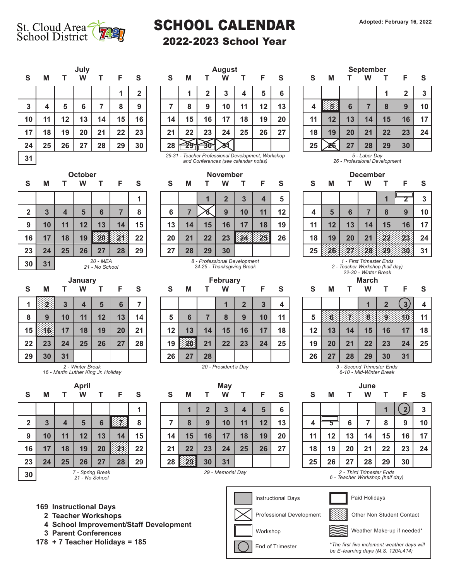

## SCHOOL CALENDAR Adopted: February 16, 2022

## 2022-2023 School Year

| S  | M  | т  | July<br>W | Т  | F  | S                       |
|----|----|----|-----------|----|----|-------------------------|
|    |    |    |           |    | 1  | $\overline{\mathbf{2}}$ |
| 3  | 4  | 5  | $\bf 6$   | 7  | 8  | 9                       |
| 10 | 11 | 12 | 13        | 14 | 15 | 16                      |
| 17 | 18 | 19 | 20        | 21 | 22 | 23                      |
| 24 | 25 | 26 | 27        | 28 | 29 | 30                      |
| 31 |    |    |           |    |    |                         |

| S               | М  |    | W  | T. | F S    |    | <b>S</b> | м  |    | W  |    | F S |    | <b>S</b> | M       |    | W  | T. | - F | - S                  |
|-----------------|----|----|----|----|--------|----|----------|----|----|----|----|-----|----|----------|---------|----|----|----|-----|----------------------|
|                 |    |    |    |    |        | ŋ  |          |    |    |    |    | 5   | 6  |          |         |    |    |    |     | 3                    |
| 3 <sup>1</sup>  |    |    | 6  |    |        | 9  |          | 8  | 9  | 10 | 11 | 12  | 13 |          |         |    |    | 8  |     | 1 <sub>1</sub>       |
| 10              | 11 | 12 | 13 | 14 | $15\,$ | 16 | 14       | 15 | 16 | 17 | 18 | 19  | 20 | 11       | $12 \,$ | 13 | 14 | 15 | 16  | $\ddot{\phantom{1}}$ |
| 17 <sup>1</sup> | 18 | 19 | 20 | 21 | 22     | 23 | 21       | 22 | 23 | 24 | 25 | 26  | 27 | 18       | 19      | 20 | 21 | 22 | 23  | 2 <sup>i</sup>       |
| 24              | 25 | 26 | 27 | 28 | 29     | 30 | 28       |    |    |    |    |     |    | 25       |         | 27 | 28 | 29 | 30  |                      |
|                 |    |    |    |    |        |    |          |    |    |    |    |     |    |          |         |    |    |    |     |                      |

*29-31 - Teacher Professional Development, Workshop 5 - Labor Day and Conferences (see calendar notes)* 

**October November December**

| $\overline{\mathbf{2}}$ | $\overline{3}$ | $\overline{\mathbf{4}}$    | 5  | $6\phantom{1}6$ |    | 8  |  |  |  |  |  |  |  |  |
|-------------------------|----------------|----------------------------|----|-----------------|----|----|--|--|--|--|--|--|--|--|
| $\boldsymbol{9}$        | 10             | 11                         | 12 | 13              | 14 | 15 |  |  |  |  |  |  |  |  |
| 16                      | 17             | 18                         | 19 |                 |    | 22 |  |  |  |  |  |  |  |  |
| 23                      | 24             | 25                         | 26 | 27              | 28 | 29 |  |  |  |  |  |  |  |  |
| 30                      | 31             | 20 - MEA<br>21 - No School |    |                 |    |    |  |  |  |  |  |  |  |  |

*2 - Winter Break 16 - Martin Luther King Jr. Holiday*

**April**

 **3 4 5 6 7 8 10 11 12 13 14 15 17 18 19 20 21 22 24 25 26 27 28 29**

| S               | M  |    | w                       |              | ►  | S  |
|-----------------|----|----|-------------------------|--------------|----|----|
|                 |    |    | $\overline{\mathbf{2}}$ | $\mathbf{3}$ | 4  | 5  |
| $6\phantom{1}6$ |    |    | 9                       | 10           | 11 | 12 |
| 13              | 14 | 15 | 16                      | 17           | 18 | 19 |
| 20              | 21 | 22 | 23                      |              |    | 26 |
| 27              | 28 | 29 | 30                      |              |    |    |

*8 - Professional Development 24-25 - Thanksgiving Break*

| S  |    | M T | W  |    | T F S |    | S.      | M    | $\mathbf{T}$ | W  |    | T F S |    | S. | M  | $\top$ | W  | T F |    | <b>S</b>    |
|----|----|-----|----|----|-------|----|---------|------|--------------|----|----|-------|----|----|----|--------|----|-----|----|-------------|
|    |    |     | 4  | 5  | 6     |    |         |      |              |    |    |       |    |    |    |        |    |     |    | Δ           |
| 8  | 9  | 10  | 11 | 12 | 13    | 14 | 5       | 6    |              |    | 9  | 10    | 11 |    |    |        |    |     |    | $1^{\circ}$ |
| 15 |    | 17  | 18 | 19 | 20    | 21 | $12 \,$ | 13   | 14           | 15 | 16 | 17    | 18 | 12 | 13 | 14     | 15 | 16  |    | ୀ {         |
| 22 | 23 | 24  | 25 | 26 | 27    | 28 | 19      | 1201 | 21           | 22 | 23 | 24    | 25 | 19 | 20 | 21     | 22 | 23  | 24 | 2!          |
| 29 | 30 | 31  |    |    |       |    | 26      | 27   | 28           |    |    |       |    | 26 | 27 | 28     | 29 | 30  | 31 |             |

**May**

**7 8 9 10 11 12 13 14 15 16 17 18 19 20 21 22 23 24 25 26 27**

**1 2 3 4 5 6**

| July | <b>August</b> |    |    |  |    |    |    |    |    |         |    | <b>September</b> |    |    |    |    |    |    |    |
|------|---------------|----|----|--|----|----|----|----|----|---------|----|------------------|----|----|----|----|----|----|----|
| W    |               | F  | S  |  | S  | M  |    | W  |    | F       | S  |                  | S  | M  |    | W  |    | F  | S  |
|      |               |    | ◠  |  |    |    | ני | 3  | 4  | 5       | 6  |                  |    |    |    |    |    | າ  |    |
| 6    |               | 8  | 9  |  |    | 8  | 9  | 10 | 11 | $12 \,$ | 13 |                  |    |    | 6  |    | 8  | 9  | 10 |
| 13   | 14            | 15 | 16 |  | 14 | 15 | 16 | 17 | 18 | 19      | 20 |                  | 11 | 12 | 13 | 14 | 15 | 16 | 17 |
| 20   | 21            | 22 | 23 |  | 21 | 22 | 23 | 24 | 25 | 26      | 27 |                  | 18 | 19 | 20 | 21 | 22 | 23 | 24 |
| 27   | 28            | 29 | 30 |  | 28 |    | ₩, |    |    |         |    |                  | 25 |    | 27 | 28 | 29 | 30 |    |



*1 - First Trimester Ends 2 - Teacher Workshop (half day)*

*22-30 - Winter Break*

|    |                      | 2  | $\mathbf{3}$ | 4  |    |    |                           |    | 2  | 3  |    |
|----|----------------------|----|--------------|----|----|----|---------------------------|----|----|----|----|
|    | 8                    | 9  | 10           | 11 | 5  |    |                           |    |    |    |    |
| 14 | 15                   | 16 | 17           | 18 | 12 | 13 | 14                        | 15 | 16 | 17 | 18 |
| 21 | 22                   | 23 | 24           | 25 | 19 | 20 | 21                        | 22 | 23 | 24 | 25 |
| 28 |                      |    |              |    | 26 | 27 | 28                        | 29 | 30 | 31 |    |
|    | 20 - President's Day |    |              |    |    |    | 3 - Second Trimester Ends |    |    |    |    |

*6-10 - Mid-Winter Break*



*29 - Memorial Day 2 - Third Trimester Ends 6 - Teacher Workshop (half day)*

Paid Holidays

**169 Instructional Days**

**30** *7 - Spring Break 21 - No School*

**S M T**

- **2 Teacher Workshops**
- **4 School Improvement/Staff Development**
- **3 Parent Conferences**
- **178 + 7 Teacher Holidays = 185**

|  | ______ |  |
|--|--------|--|
|  |        |  |

 $\frac{29}{29}$  30 31  $\frac{31}{29}$  - Memorial Day

**28 29 30 31**

Instructional Days

Professional Development

Other Non Student Contact

Workshop Weather Make-up if needed\*

End of Trimester

**End of Trimester** *inclement weather days will inclement inclement weather days will be E-learning days (M.S. 120A.414)*

|   | January    |       |            |            |              |              |  |                | <b>February</b> |                |                |                |                 |                |  |            |            | <b>March</b> |                |  |  |
|---|------------|-------|------------|------------|--------------|--------------|--|----------------|-----------------|----------------|----------------|----------------|-----------------|----------------|--|------------|------------|--------------|----------------|--|--|
|   | M          |       | W          |            |              | S            |  | S              | M               |                | W              |                |                 | S              |  |            | M          |              | W              |  |  |
|   |            | C     |            |            |              |              |  |                |                 |                |                | $\sqrt{2}$     | $\sim$          |                |  |            |            |              |                |  |  |
| 8 | Ω          |       |            | 19         | פ ו          | 14           |  | -<br>э         | 6               |                | $\bullet$      | 9              | 10              | $-1.4$         |  |            |            |              |                |  |  |
| - | <b>ARA</b> | $4 -$ | $\sqrt{2}$ | $\sqrt{2}$ | $\mathbf{a}$ | $\mathbf{A}$ |  | $\overline{a}$ | $\sqrt{2}$      | $\overline{A}$ | $\overline{A}$ | $\overline{A}$ | 47 <sup>1</sup> | $\overline{a}$ |  | $\sqrt{2}$ | $\sqrt{2}$ |              | $\overline{A}$ |  |  |



**W T F S S M T**

**1**